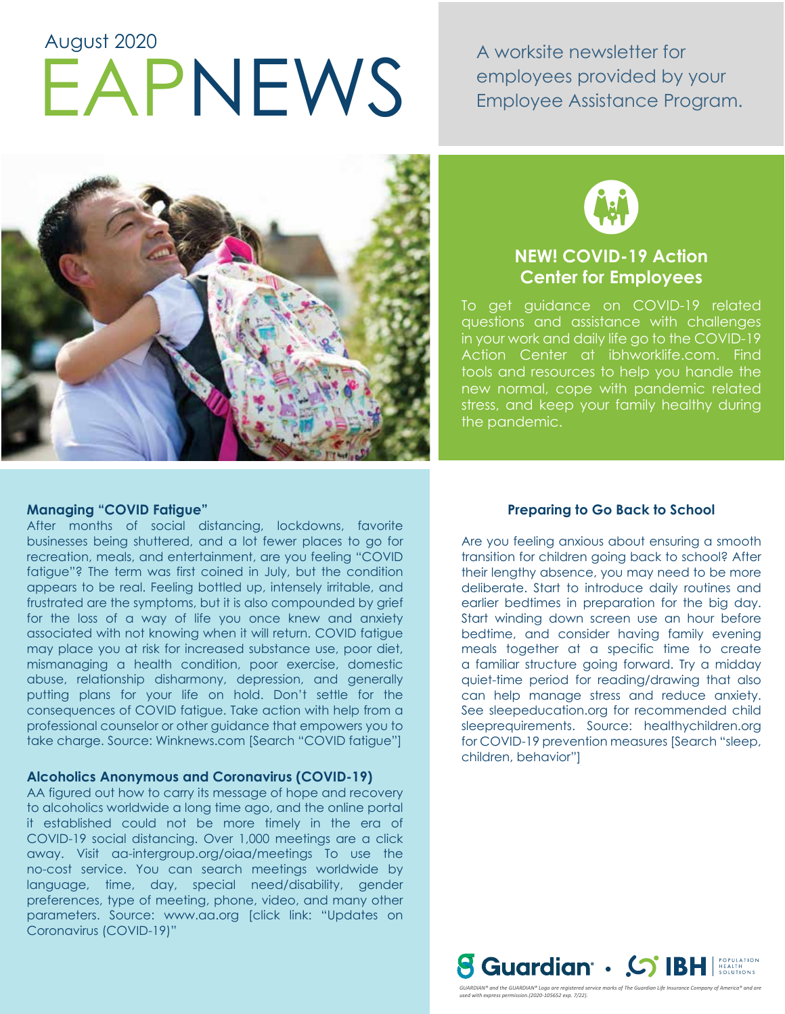# EAPNEWS A worksite newsletter for<br>Employee Assistance Pro August 2020

employees provided by your Employee Assistance Program.





# **NEW! COVID-19 Action Center for Employees**

To get guidance on COVID-19 related questions and assistance with challenges in your work and daily life go to the COVID-19 Action Center at ibhworklife.com. Find tools and resources to help you handle the new normal, cope with pandemic related stress, and keep your family healthy during the pandemic.

### **Managing "COVID Fatigue"**

After months of social distancing, lockdowns, favorite businesses being shuttered, and a lot fewer places to go for recreation, meals, and entertainment, are you feeling "COVID fatigue"? The term was first coined in July, but the condition appears to be real. Feeling bottled up, intensely irritable, and frustrated are the symptoms, but it is also compounded by grief for the loss of a way of life you once knew and anxiety associated with not knowing when it will return. COVID fatigue may place you at risk for increased substance use, poor diet, mismanaging a health condition, poor exercise, domestic abuse, relationship disharmony, depression, and generally putting plans for your life on hold. Don't settle for the consequences of COVID fatigue. Take action with help from a professional counselor or other guidance that empowers you to take charge. Source: Winknews.com [Search "COVID fatigue"]

#### **Alcoholics Anonymous and Coronavirus (COVID-19)**

AA figured out how to carry its message of hope and recovery to alcoholics worldwide a long time ago, and the online portal it established could not be more timely in the era of COVID-19 social distancing. Over 1,000 meetings are a click away. Visit aa-intergroup.org/oiaa/meetings To use the no-cost service. You can search meetings worldwide by language, time, day, special need/disability, gender preferences, type of meeting, phone, video, and many other parameters. Source: www.aa.org [click link: "Updates on Coronavirus (COVID-19)"

## **Preparing to Go Back to School**

Are you feeling anxious about ensuring a smooth transition for children going back to school? After their lengthy absence, you may need to be more deliberate. Start to introduce daily routines and earlier bedtimes in preparation for the big day. Start winding down screen use an hour before bedtime, and consider having family evening meals together at a specific time to create a familiar structure going forward. Try a midday quiet-time period for reading/drawing that also can help manage stress and reduce anxiety. See sleepeducation.org for recommended child sleeprequirements. Source: healthychildren.org for COVID-19 prevention measures [Search "sleep, children, behavior"]